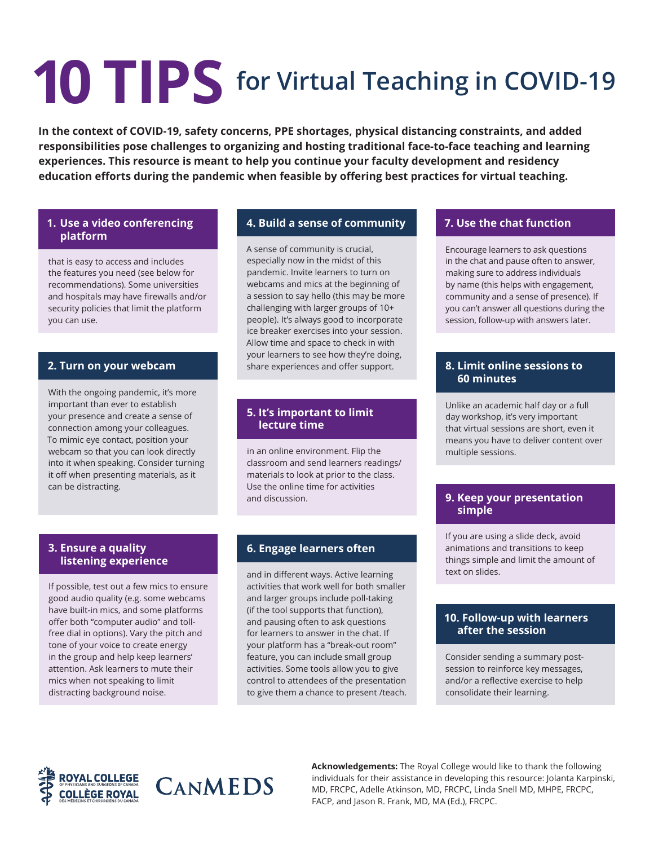# **10 TIPS for Virtual Teaching in COVID-19**

**In the context of COVID-19, safety concerns, PPE shortages, physical distancing constraints, and added responsibilities pose challenges to organizing and hosting traditional face-to-face teaching and learning experiences. This resource is meant to help you continue your faculty development and residency education efforts during the pandemic when feasible by offering best practices for virtual teaching.**

### **1. Use a video conferencing platform**

that is easy to access and includes the features you need (see below for recommendations). Some universities and hospitals may have firewalls and/or security policies that limit the platform you can use.

# **2. Turn on your webcam**

With the ongoing pandemic, it's more important than ever to establish your presence and create a sense of connection among your colleagues. To mimic eye contact, position your webcam so that you can look directly into it when speaking. Consider turning it off when presenting materials, as it can be distracting.

# **4. Build a sense of community**

A sense of community is crucial, especially now in the midst of this pandemic. Invite learners to turn on webcams and mics at the beginning of a session to say hello (this may be more challenging with larger groups of 10+ people). It's always good to incorporate ice breaker exercises into your session. Allow time and space to check in with your learners to see how they're doing, share experiences and offer support.

### **5. It's important to limit lecture time**

in an online environment. Flip the classroom and send learners readings/ materials to look at prior to the class. Use the online time for activities and discussion.

#### **3. Ensure a quality listening experience**

If possible, test out a few mics to ensure good audio quality (e.g. some webcams have built-in mics, and some platforms offer both "computer audio" and tollfree dial in options). Vary the pitch and tone of your voice to create energy in the group and help keep learners' attention. Ask learners to mute their mics when not speaking to limit distracting background noise.

# **6. Engage learners often**

and in different ways. Active learning activities that work well for both smaller and larger groups include poll-taking (if the tool supports that function), and pausing often to ask questions for learners to answer in the chat. If your platform has a "break-out room" feature, you can include small group activities. Some tools allow you to give control to attendees of the presentation to give them a chance to present /teach.

# **7. Use the chat function**

Encourage learners to ask questions in the chat and pause often to answer, making sure to address individuals by name (this helps with engagement, community and a sense of presence). If you can't answer all questions during the session, follow-up with answers later.

# **8. Limit online sessions to 60 minutes**

Unlike an academic half day or a full day workshop, it's very important that virtual sessions are short, even it means you have to deliver content over multiple sessions.

## **9. Keep your presentation simple**

If you are using a slide deck, avoid animations and transitions to keep things simple and limit the amount of text on slides.

#### **10. Follow-up with learners after the session**

Consider sending a summary postsession to reinforce key messages, and/or a reflective exercise to help consolidate their learning.



CANMEDS

**Acknowledgements:** The Royal College would like to thank the following individuals for their assistance in developing this resource: Jolanta Karpinski, MD, FRCPC, Adelle Atkinson, MD, FRCPC, Linda Snell MD, MHPE, FRCPC, FACP, and Jason R. Frank, MD, MA (Ed.), FRCPC.